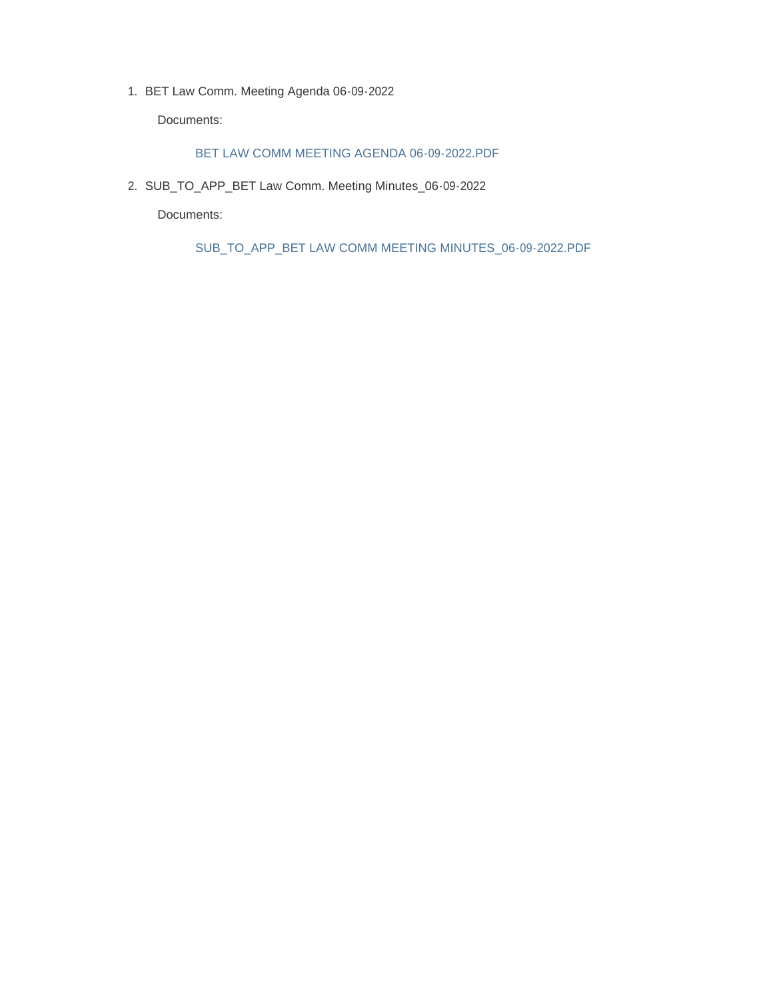1. BET Law Comm. Meeting Agenda 06-09-2022

Documents:

#### BET LAW COMM MEETING AGENDA 06-09-2022.PDF

2. SUB\_TO\_APP\_BET Law Comm. Meeting Minutes\_06-09-2022

Documents:

SUB\_TO\_APP\_BET LAW COMM MEETING MINUTES\_06-09-2022.PDF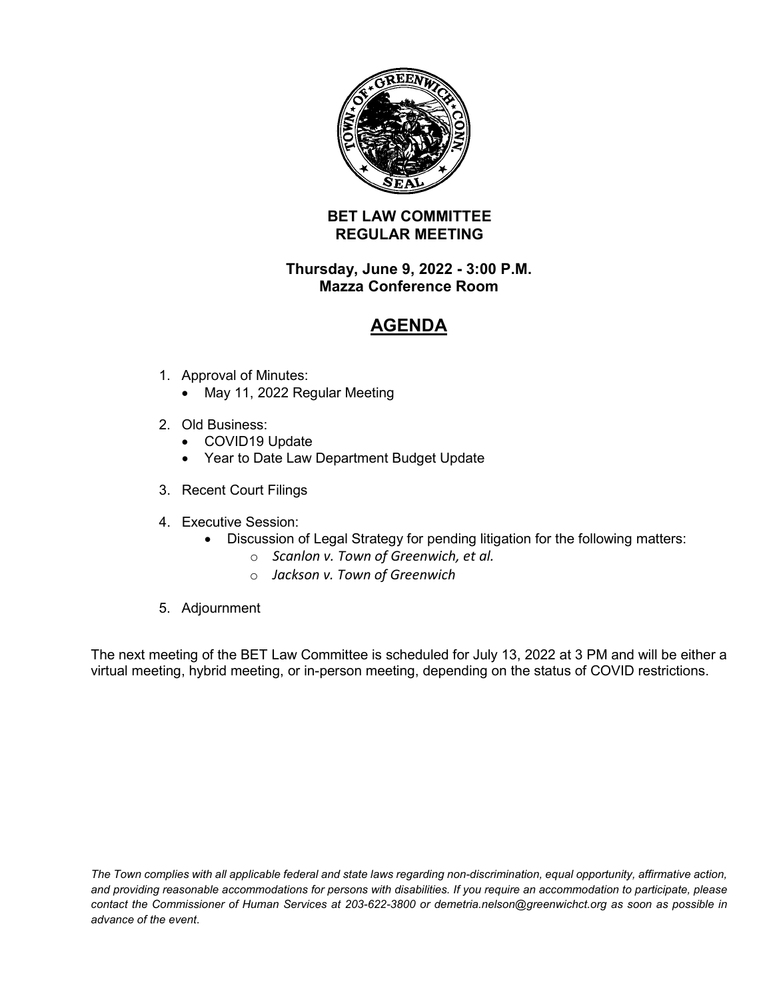

## **BET LAW COMMITTEE REGULAR MEETING**

### **Thursday, June 9, 2022 - 3:00 P.M. Mazza Conference Room**

# **AGENDA**

- 1. Approval of Minutes:
	- May 11, 2022 Regular Meeting
- 2. Old Business:
	- COVID19 Update
	- Year to Date Law Department Budget Update
- 3. Recent Court Filings
- 4. Executive Session:
	- Discussion of Legal Strategy for pending litigation for the following matters:
		- o *Scanlon v. Town of Greenwich, et al.*
		- o *Jackson v. Town of Greenwich*
- 5. Adjournment

The next meeting of the BET Law Committee is scheduled for July 13, 2022 at 3 PM and will be either a virtual meeting, hybrid meeting, or in-person meeting, depending on the status of COVID restrictions.

*The Town complies with all applicable federal and state laws regarding non-discrimination, equal opportunity, affirmative action, and providing reasonable accommodations for persons with disabilities. If you require an accommodation to participate, please contact the Commissioner of Human Services at 203-622-3800 or demetria.nelson@greenwichct.org as soon as possible in advance of the event*.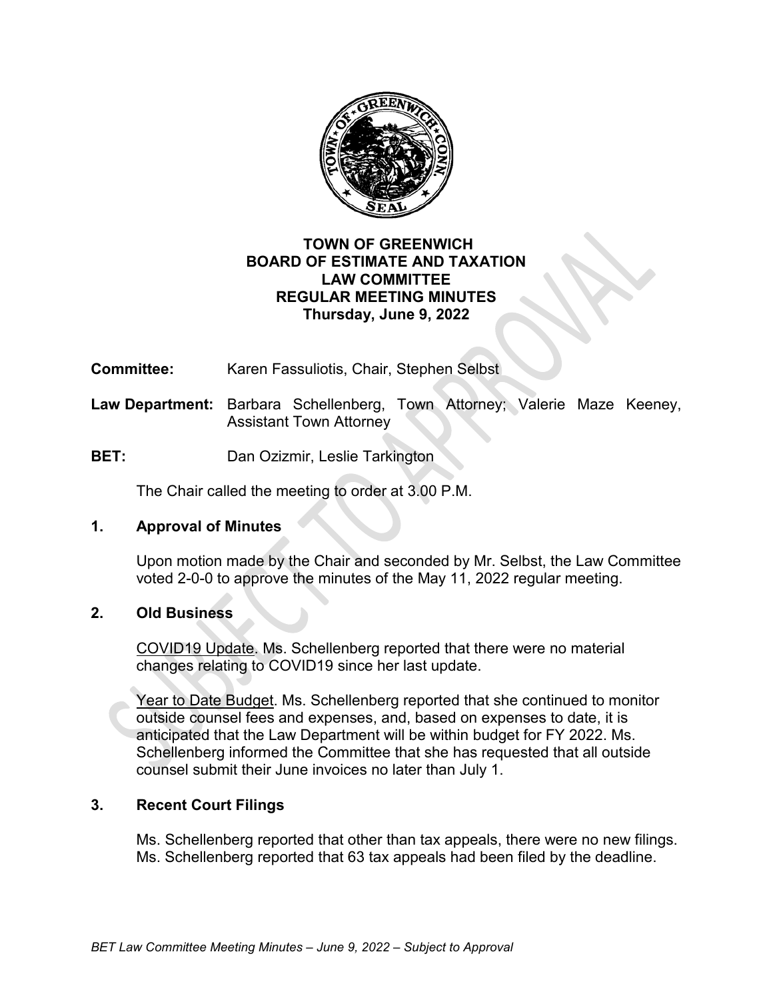

### **TOWN OF GREENWICH BOARD OF ESTIMATE AND TAXATION LAW COMMITTEE REGULAR MEETING MINUTES Thursday, June 9, 2022**

**Committee:** Karen Fassuliotis, Chair, Stephen Selbst

- **Law Department:** Barbara Schellenberg, Town Attorney; Valerie Maze Keeney, Assistant Town Attorney
- **BET:** Dan Ozizmir, Leslie Tarkington

The Chair called the meeting to order at 3.00 P.M.

#### **1. Approval of Minutes**

Upon motion made by the Chair and seconded by Mr. Selbst, the Law Committee voted 2-0-0 to approve the minutes of the May 11, 2022 regular meeting.

# **2. Old Business**

COVID19 Update. Ms. Schellenberg reported that there were no material changes relating to COVID19 since her last update.

Year to Date Budget. Ms. Schellenberg reported that she continued to monitor outside counsel fees and expenses, and, based on expenses to date, it is anticipated that the Law Department will be within budget for FY 2022. Ms. Schellenberg informed the Committee that she has requested that all outside counsel submit their June invoices no later than July 1.

# **3. Recent Court Filings**

Ms. Schellenberg reported that other than tax appeals, there were no new filings. Ms. Schellenberg reported that 63 tax appeals had been filed by the deadline.